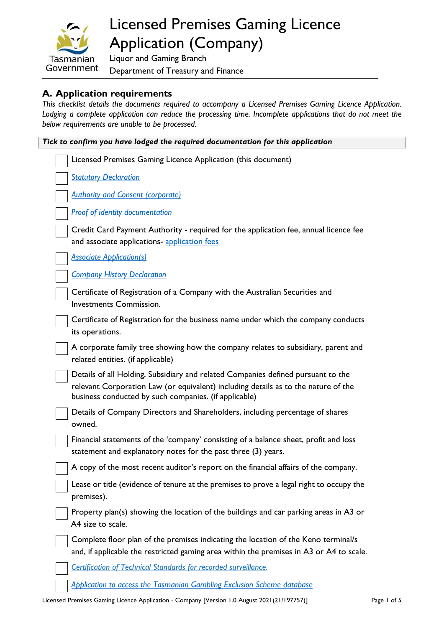

# Licensed Premises Gaming Licence Application (Company)

Liquor and Gaming Branch Department of Treasury and Finance

### **A. Application requirements**

*This checklist details the documents required to accompany a Licensed Premises Gaming Licence Application.*  Lodging a complete application can reduce the processing time. Incomplete applications that do not meet the *below requirements are unable to be processed.*

| Tick to confirm you have lodged the required documentation for this application |                                                                                                                                                                                                                                 |  |
|---------------------------------------------------------------------------------|---------------------------------------------------------------------------------------------------------------------------------------------------------------------------------------------------------------------------------|--|
|                                                                                 | Licensed Premises Gaming Licence Application (this document)                                                                                                                                                                    |  |
|                                                                                 | <b>Statutory Declaration</b>                                                                                                                                                                                                    |  |
|                                                                                 | <b>Authority and Consent (corporate)</b>                                                                                                                                                                                        |  |
|                                                                                 | <b>Proof of identity documentation</b>                                                                                                                                                                                          |  |
|                                                                                 | Credit Card Payment Authority - required for the application fee, annual licence fee<br>and associate applications- application fees                                                                                            |  |
|                                                                                 | <b>Associate Application(s)</b>                                                                                                                                                                                                 |  |
|                                                                                 | <b>Company History Declaration</b>                                                                                                                                                                                              |  |
|                                                                                 | Certificate of Registration of a Company with the Australian Securities and<br><b>Investments Commission.</b>                                                                                                                   |  |
|                                                                                 | Certificate of Registration for the business name under which the company conducts<br>its operations.                                                                                                                           |  |
|                                                                                 | A corporate family tree showing how the company relates to subsidiary, parent and<br>related entities. (if applicable)                                                                                                          |  |
|                                                                                 | Details of all Holding, Subsidiary and related Companies defined pursuant to the<br>relevant Corporation Law (or equivalent) including details as to the nature of the<br>business conducted by such companies. (if applicable) |  |
|                                                                                 | Details of Company Directors and Shareholders, including percentage of shares<br>owned.                                                                                                                                         |  |
|                                                                                 | Financial statements of the 'company' consisting of a balance sheet, profit and loss<br>statement and explanatory notes for the past three (3) years.                                                                           |  |
|                                                                                 | A copy of the most recent auditor's report on the financial affairs of the company.                                                                                                                                             |  |
|                                                                                 | Lease or title (evidence of tenure at the premises to prove a legal right to occupy the<br>premises).                                                                                                                           |  |
|                                                                                 | Property plan(s) showing the location of the buildings and car parking areas in A3 or<br>A4 size to scale.                                                                                                                      |  |
|                                                                                 | Complete floor plan of the premises indicating the location of the Keno terminal/s<br>and, if applicable the restricted gaming area within the premises in A3 or A4 to scale.                                                   |  |
|                                                                                 | Certification of Technical Standards for recorded surveillance.                                                                                                                                                                 |  |
|                                                                                 | <b>Application to access the Tasmanian Gambling Exclusion Scheme database</b>                                                                                                                                                   |  |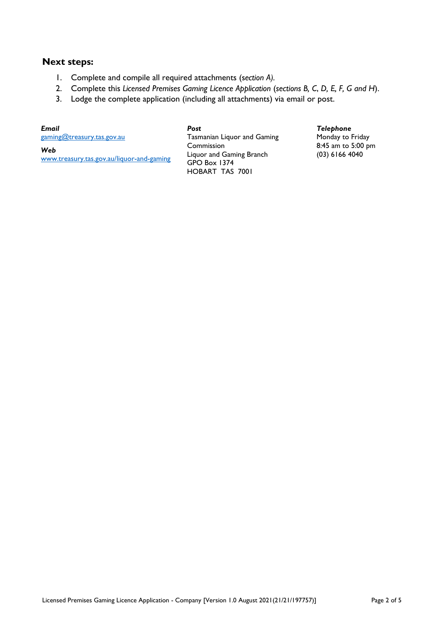#### **Next steps:**

- 1. Complete and compile all required attachments (s*ection A).*
- 2. Complete this *Licensed Premises Gaming Licence Application* (*sections B, C*, *D, E, F, G and H*).
- 3. Lodge the complete application (including all attachments) via email or post.

*Email* [gaming@treasury.tas.gov.au](mailto:gaming@treasury.tas.gov.au) 

*Web* 

[www.treasury.tas.gov.au/liquor-and-gaming](http://www.treasury.tas.gov.au/liquor-and-gaming)

*Post* Tasmanian Liquor and Gaming Commission Liquor and Gaming Branch GPO Box 1374 HOBART TAS 7001

#### *Telephone*

Monday to Friday 8:45 am to 5:00 pm (03) 6166 4040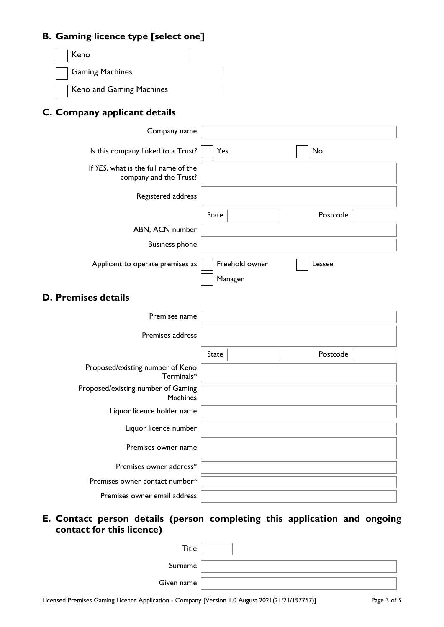### **B. G**

| <b>B. Gaming licence type [select one]</b>                     |              |                           |          |  |
|----------------------------------------------------------------|--------------|---------------------------|----------|--|
| Keno                                                           |              |                           |          |  |
| <b>Gaming Machines</b>                                         |              |                           |          |  |
| Keno and Gaming Machines                                       |              |                           |          |  |
| C. Company applicant details                                   |              |                           |          |  |
| Company name                                                   |              |                           |          |  |
| Is this company linked to a Trust?                             | Yes          |                           | No       |  |
| If YES, what is the full name of the<br>company and the Trust? |              |                           |          |  |
| Registered address                                             |              |                           |          |  |
|                                                                | <b>State</b> |                           | Postcode |  |
| ABN, ACN number                                                |              |                           |          |  |
| <b>Business phone</b>                                          |              |                           |          |  |
| Applicant to operate premises as                               |              | Freehold owner<br>Manager | Lessee   |  |
| <b>D. Premises details</b>                                     |              |                           |          |  |
| Premises name                                                  |              |                           |          |  |
| Premises address                                               |              |                           |          |  |
|                                                                | State        |                           | Postcode |  |
| Proposed/existing number of Keno<br>$Terminals*$               |              |                           |          |  |
| Proposed/existing number of Gaming<br>Machines                 |              |                           |          |  |
| Liquor licence holder name                                     |              |                           |          |  |
| Liquor licence number                                          |              |                           |          |  |
| Premises owner name                                            |              |                           |          |  |
| Premises owner address*                                        |              |                           |          |  |
| Premises owner contact number*                                 |              |                           |          |  |
| Premises owner email address                                   |              |                           |          |  |

## **E. Contact person details (person completing this application and ongoing contact for this licence)**

| $\tau$ itle |  |
|-------------|--|
| Surname     |  |
| Given name  |  |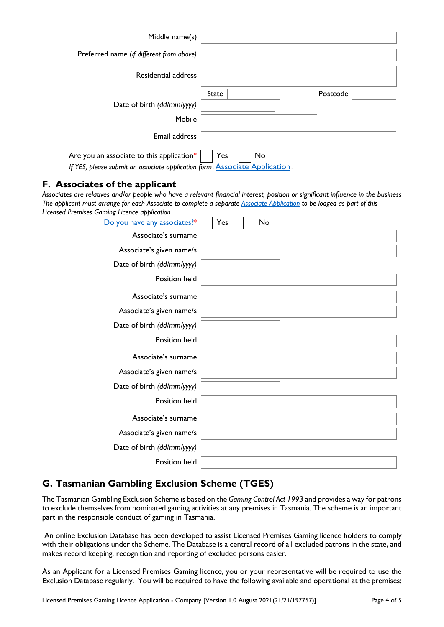| Middle name(s)                            |              |    |          |
|-------------------------------------------|--------------|----|----------|
| Preferred name (if different from above)  |              |    |          |
| Residential address                       |              |    |          |
|                                           | <b>State</b> |    | Postcode |
| Date of birth (dd/mm/yyyy)                |              |    |          |
| Mobile                                    |              |    |          |
| Email address                             |              |    |          |
| Are you an associate to this application* | Yes          | No |          |

*If YES, please submit an associate application form [Associate](https://www.treasury.tas.gov.au/liquor-and-gaming/forms/Supporting-information#Associates%3Cbr%3E) Application -*

#### **F. Associates of the applicant**

*Associates are relatives and/or people who have a relevant financial interest, position or significant influence in the business The applicant must arrange for each Associate to complete a separate [Associate Application](https://www.treasury.tas.gov.au/Documents/Associate%20Application.pdf) to be lodged as part of this Licensed Premises Gaming Licence application*

| Do you have any associates?* | Yes<br>No |
|------------------------------|-----------|
| Associate's surname          |           |
| Associate's given name/s     |           |
| Date of birth (dd/mm/yyyy)   |           |
| Position held                |           |
| Associate's surname          |           |
| Associate's given name/s     |           |
| Date of birth (dd/mm/yyyy)   |           |
| Position held                |           |
| Associate's surname          |           |
| Associate's given name/s     |           |
| Date of birth (dd/mm/yyyy)   |           |
| Position held                |           |
| Associate's surname          |           |
| Associate's given name/s     |           |
| Date of birth (dd/mm/yyyy)   |           |
| Position held                |           |

### **G. Tasmanian Gambling Exclusion Scheme (TGES)**

The Tasmanian Gambling Exclusion Scheme is based on the *Gaming Control Act 1993* and provides a way for patrons to exclude themselves from nominated gaming activities at any premises in Tasmania. The scheme is an important part in the responsible conduct of gaming in Tasmania.

 An online Exclusion Database has been developed to assist Licensed Premises Gaming licence holders to comply with their obligations under the Scheme. The Database is a central record of all excluded patrons in the state, and makes record keeping, recognition and reporting of excluded persons easier.

As an Applicant for a Licensed Premises Gaming licence, you or your representative will be required to use the Exclusion Database regularly. You will be required to have the following available and operational at the premises: